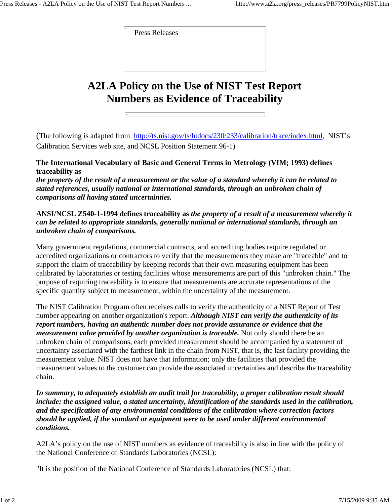Press Releases

 $\overline{\mathcal{A}}$ 

## **A2LA Policy on the Use of NIST Test Report Numbers as Evidence of Traceability**

(The following is adapted from http://ts.nist.gov/ts/htdocs/230/233/calibration/trace/index.html, NIST's Calibration Services web site, and NCSL Position Statement 96-1)

## **The International Vocabulary of Basic and General Terms in Metrology (VIM; 1993) defines traceability as**

*the property of the result of a measurement or the value of a standard whereby it can be related to stated references, usually national or international standards, through an unbroken chain of comparisons all having stated uncertainties.*

## **ANSI/NCSL Z540-1-1994 defines traceability as** *the property of a result of a measurement whereby it can be related to appropriate standards, generally national or international standards, through an unbroken chain of comparisons.*

Many government regulations, commercial contracts, and accrediting bodies require regulated or accredited organizations or contractors to verify that the measurements they make are "traceable" and to support the claim of traceability by keeping records that their own measuring equipment has been calibrated by laboratories or testing facilities whose measurements are part of this "unbroken chain." The purpose of requiring traceability is to ensure that measurements are accurate representations of the specific quantity subject to measurement, within the uncertainty of the measurement.

The NIST Calibration Program often receives calls to verify the authenticity of a NIST Report of Test number appearing on another organization's report. *Although NIST can verify the authenticity of its report numbers, having an authentic number does not provide assurance or evidence that the measurement value provided by another organization is traceable.* Not only should there be an unbroken chain of comparisons, each provided measurement should be accompanied by a statement of uncertainty associated with the farthest link in the chain from NIST, that is, the last facility providing the measurement value. NIST does not have that information; only the facilities that provided the measurement values to the customer can provide the associated uncertainties and describe the traceability chain.

*In summary, to adequately establish an audit trail for traceability, a proper calibration result should include: the assigned value, a stated uncertainty, identification of the standards used in the calibration, and the specification of any environmental conditions of the calibration where correction factors should be applied, if the standard or equipment were to be used under different environmental conditions.* 

A2LA's policy on the use of NIST numbers as evidence of traceability is also in line with the policy of the National Conference of Standards Laboratories (NCSL):

"It is the position of the National Conference of Standards Laboratories (NCSL) that: